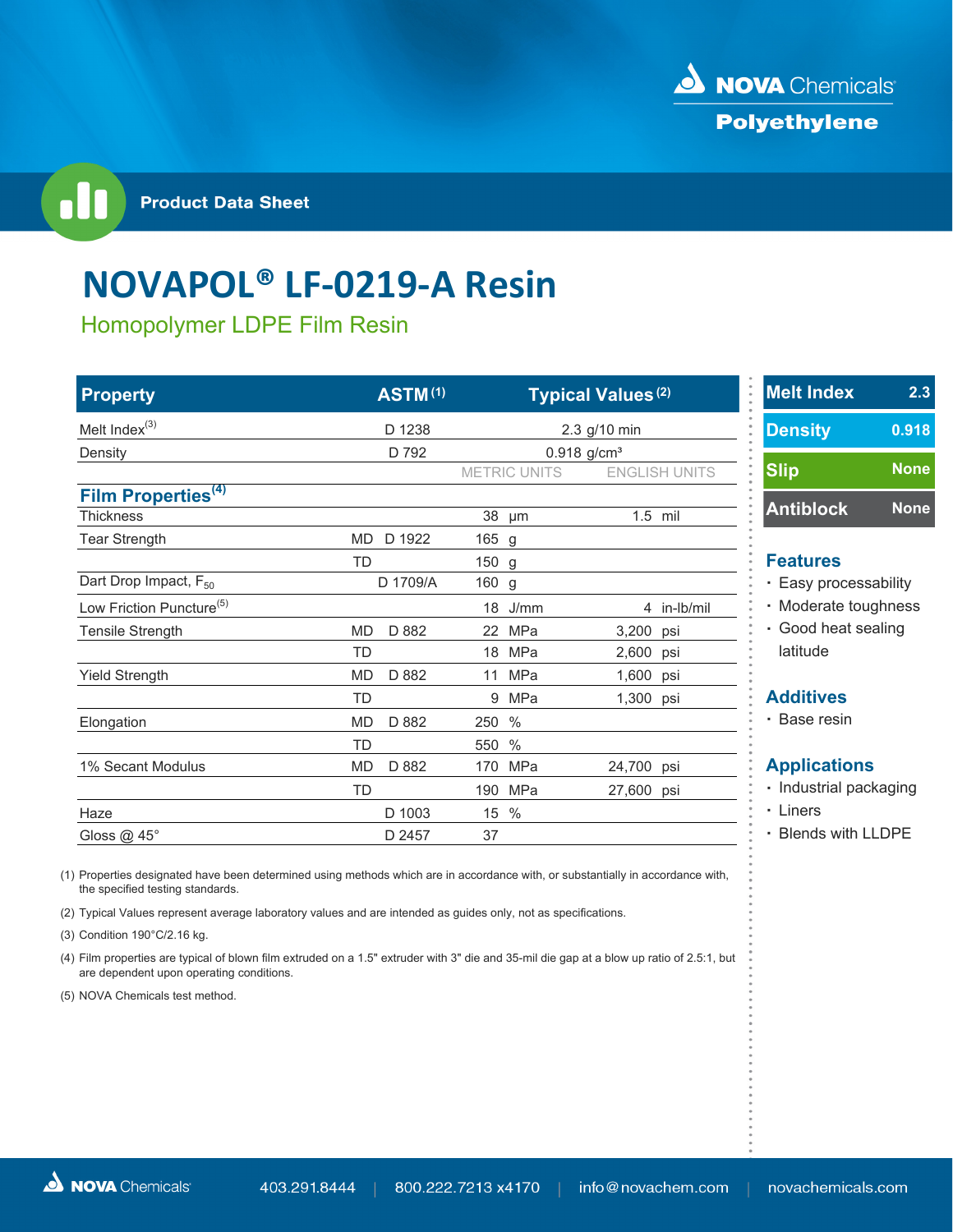

**Product Data Sheet** 

## **NOVAPOL® LF‐0219‐A Resin**

Homopolymer LDPE Film Resin

| <b>Property</b>                      | <b>ASTM(1)</b>     |                      | <b>Typical Values (2)</b> | <b>Melt Index</b>      |           |
|--------------------------------------|--------------------|----------------------|---------------------------|------------------------|-----------|
| Melt Index <sup>(3)</sup>            | D 1238             | 2.3 g/10 min         |                           | <b>Density</b>         | 0.9       |
| Density                              | D 792              |                      | $0.918$ g/cm <sup>3</sup> |                        |           |
|                                      |                    | <b>METRIC UNITS</b>  | <b>ENGLISH UNITS</b>      | <b>Slip</b>            | <b>No</b> |
| Film Properties <sup>(4)</sup>       |                    |                      |                           |                        |           |
| <b>Thickness</b>                     |                    | 38<br>µm             | $1.5$ mil                 | <b>Antiblock</b>       | <b>No</b> |
| <b>Tear Strength</b>                 | MD<br>D 1922       | 165 g                |                           |                        |           |
|                                      | TD                 | 150 g                |                           | <b>Features</b>        |           |
| Dart Drop Impact, F <sub>50</sub>    | D 1709/A           | 160 g                |                           | • Easy processability  |           |
| Low Friction Puncture <sup>(5)</sup> |                    | $18$ J/mm            | 4 in-lb/mil               | · Moderate toughnes    |           |
| Tensile Strength                     | D 882<br><b>MD</b> | 22 MPa               | 3,200<br>psi              | · Good heat sealing    |           |
|                                      | <b>TD</b>          | 18 MPa               | 2,600 psi                 | latitude               |           |
| <b>Yield Strength</b>                | D 882<br>MD        | MPa<br>11            | 1,600 psi                 |                        |           |
|                                      | <b>TD</b>          | MPa<br>9             | 1,300<br>psi              | <b>Additives</b>       |           |
| Elongation                           | <b>MD</b><br>D 882 | $\frac{0}{0}$<br>250 |                           | • Base resin           |           |
|                                      | TD                 | 550 %                |                           |                        |           |
| 1% Secant Modulus                    | <b>MD</b><br>D 882 | 170 MPa              | 24,700 psi                | <b>Applications</b>    |           |
|                                      | TD                 | 190 MPa              | 27,600 psi                | · Industrial packaging |           |
| Haze                                 | D 1003             | 15<br>$\%$           |                           | • Liners               |           |
| Gloss @ 45°                          | D 2457             | 37                   |                           | • Blends with LLDPE    |           |

(1) Properties designated have been determined using methods which are in accordance with, or substantially in accordance with, the specified testing standards.

(2) Typical Values represent average laboratory values and are intended as guides only, not as specifications.

(3) Condition 190°C/2.16 kg.

(4) Film properties are typical of blown film extruded on a 1.5" extruder with 3" die and 35-mil die gap at a blow up ratio of 2.5:1, but are dependent upon operating conditions.

(5) NOVA Chemicals test method.

| <b>Melt Index</b> | $2.\overline{3}$ |
|-------------------|------------------|
| <b>Density</b>    | 0.918            |
| <b>Slip</b>       | <b>None</b>      |
| <b>Antiblock</b>  | <b>None</b>      |
|                   |                  |

- 
- **Prate toughness**
- 

- trial packaging
- -